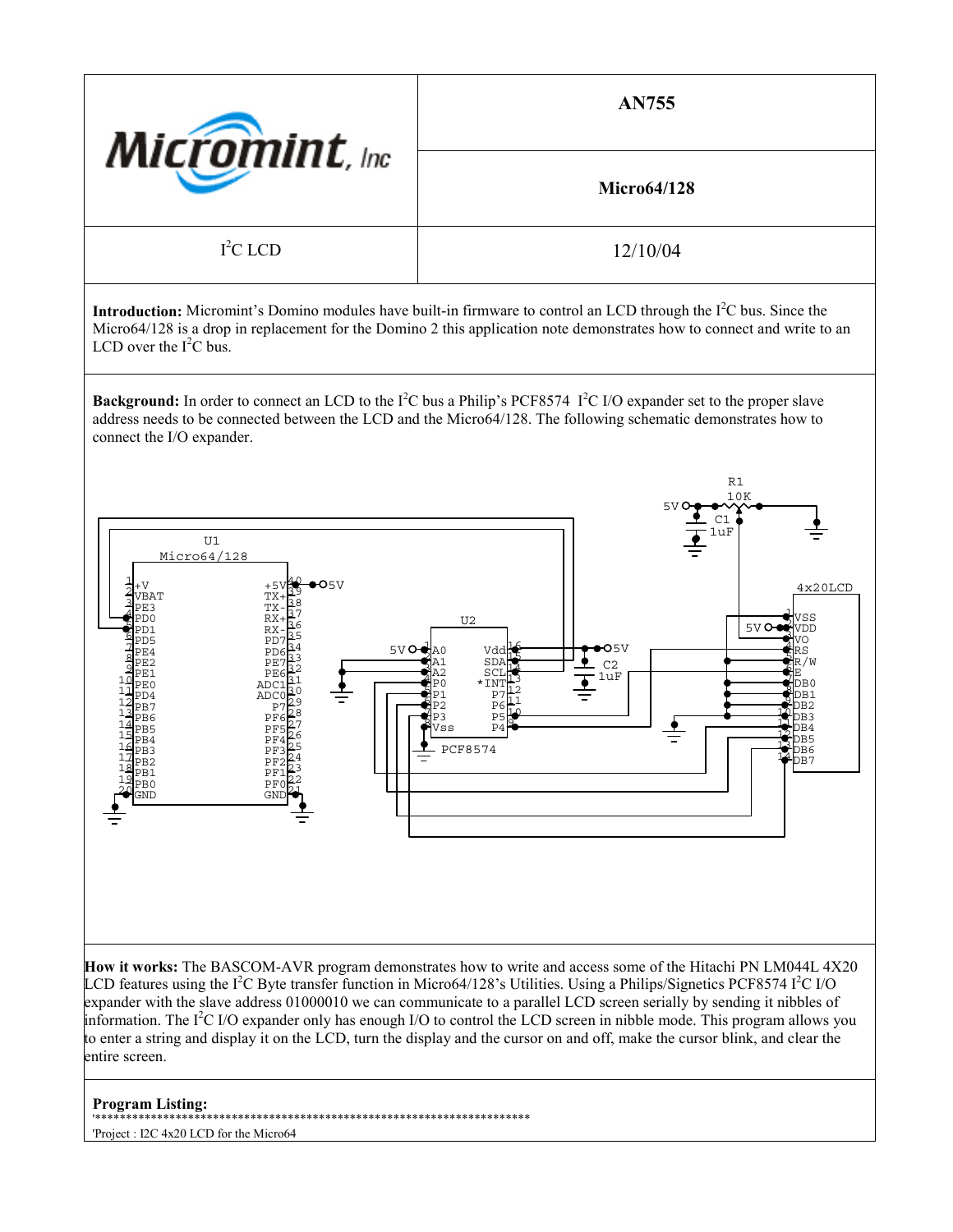| <b>Micromint</b> , Inc. | <b>AN755</b>       |
|-------------------------|--------------------|
|                         | <b>Micro64/128</b> |
| $I2C$ LCD               | 12/10/04           |

**Introduction:** Micromint's Domino modules have built-in firmware to control an LCD through the I<sup>2</sup>C bus. Since the Micro64/128 is a drop in replacement for the Domino 2 this application note demonstrates how to connect and write to an LCD over the  $I^2C$  bus.

**Background:** In order to connect an LCD to the I<sup>2</sup>C bus a Philip's PCF8574 I<sup>2</sup>C I/O expander set to the proper slave address needs to be connected between the LCD and the Micro64/128. The following schematic demonstrates how to connect the I/O expander.



**How it works:** The BASCOM-AVR program demonstrates how to write and access some of the Hitachi PN LM044L 4X20 LCD features using the I<sup>2</sup>C Byte transfer function in Micro64/128's Utilities. Using a Philips/Signetics PCF8574 I<sup>2</sup>C I/O expander with the slave address 01000010 we can communicate to a parallel LCD screen serially by sending it nibbles of information. The  $I<sup>2</sup>C I/O$  expander only has enough I/O to control the LCD screen in nibble mode. This program allows you to enter a string and display it on the LCD, turn the display and the cursor on and off, make the cursor blink, and clear the entire screen.

## **Program Listing:**

'\*\*\*\*\*\*\*\*\*\*\*\*\*\*\*\*\*\*\*\*\*\*\*\*\*\*\*\*\*\*\*\*\*\*\*\*\*\*\*\*\*\*\*\*\*\*\*\*\*\*\*\*\*\*\*\*\*\*\*\*\*\*\*\*\*\*\*\*\*\*

'Project : I2C 4x20 LCD for the Micro64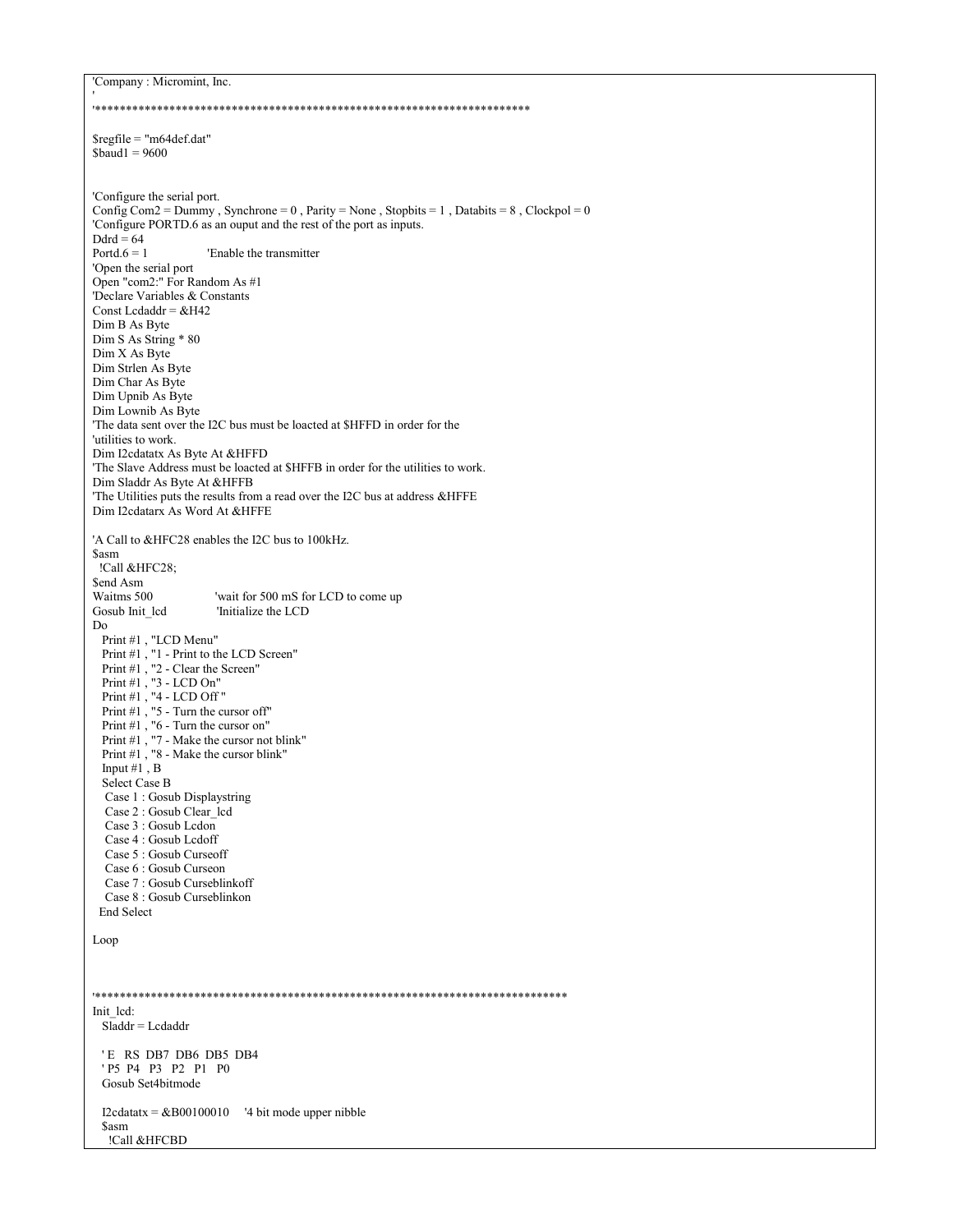'Company : Micromint, Inc.  $Sregfile = "m64def.dat"$  $$baud1 = 9600$ 'Configure the serial port. Config Com2 = Dummy, Synchrone = 0, Parity = None, Stopbits = 1, Databits = 8, Clockpol = 0 'Configure PORTD.6 as an ouput and the rest of the port as inputs. Ddrd =  $64$ Portd. $6 = 1$ 'Enable the transmitter 'Open the serial port Open "com2:" For Random As #1 Declare Variables & Constants Const Ledaddr =  $&H42$ Dim B As Byte Dim S As String \* 80 Dim X As Byte Dim Strlen As Byte Dim Char As Byte Dim Upnib As Byte Dim Lownib As Byte 'The data sent over the I2C bus must be loacted at \$HFFD in order for the 'utilities to work. Dim I2cdatatx As Byte At &HFFD 'The Slave Address must be loacted at \$HFFB in order for the utilities to work. Dim Sladdr As Byte At &HFFB 'The Utilities puts the results from a read over the I2C bus at address &HFFE Dim I2cdatarx As Word At &HFFE 'A Call to &HFC28 enables the I2C bus to 100kHz. **Sasm** !Call &HFC28: \$end Asm 'wait for 500 mS for LCD to come up Waitms 500 Gosub Init led 'Initialize the LCD Do Print #1, "LCD Menu" Print #1, "1 - Print to the LCD Screen" Print #1, "2 - Clear the Screen" Print #1, "3 - LCD On"<br>Print #1, "4 - LCD Off" Print  $#1$ , "5 - Turn the cursor off" Print #1, "6 - Turn the cursor on" Print #1, "7 - Make the cursor not blink"<br>Print #1, "8 - Make the cursor blink" Input #1,  $\overline{B}$ Select Case B Case 1: Gosub Displaystring Case 2 : Gosub Clear\_lcd Case 3 : Gosub Lcdon Case 4 : Gosub Lcdoff Case 5: Gosub Curseoff Case 6 : Gosub Curseon Case 7: Gosub Curseblinkoff Case 8 : Gosub Curseblinkon **End Select** Loop Init led:  $S \overline{lad}$  = Ledaddr 'E RS DB7 DB6 DB5 DB4 'P5 P4 P3 P2 P1 P0 Gosub Set4bitmode I2cdatatx =  $&B00100010$  '4 bit mode upper nibble **Sasm** !Call &HFCBD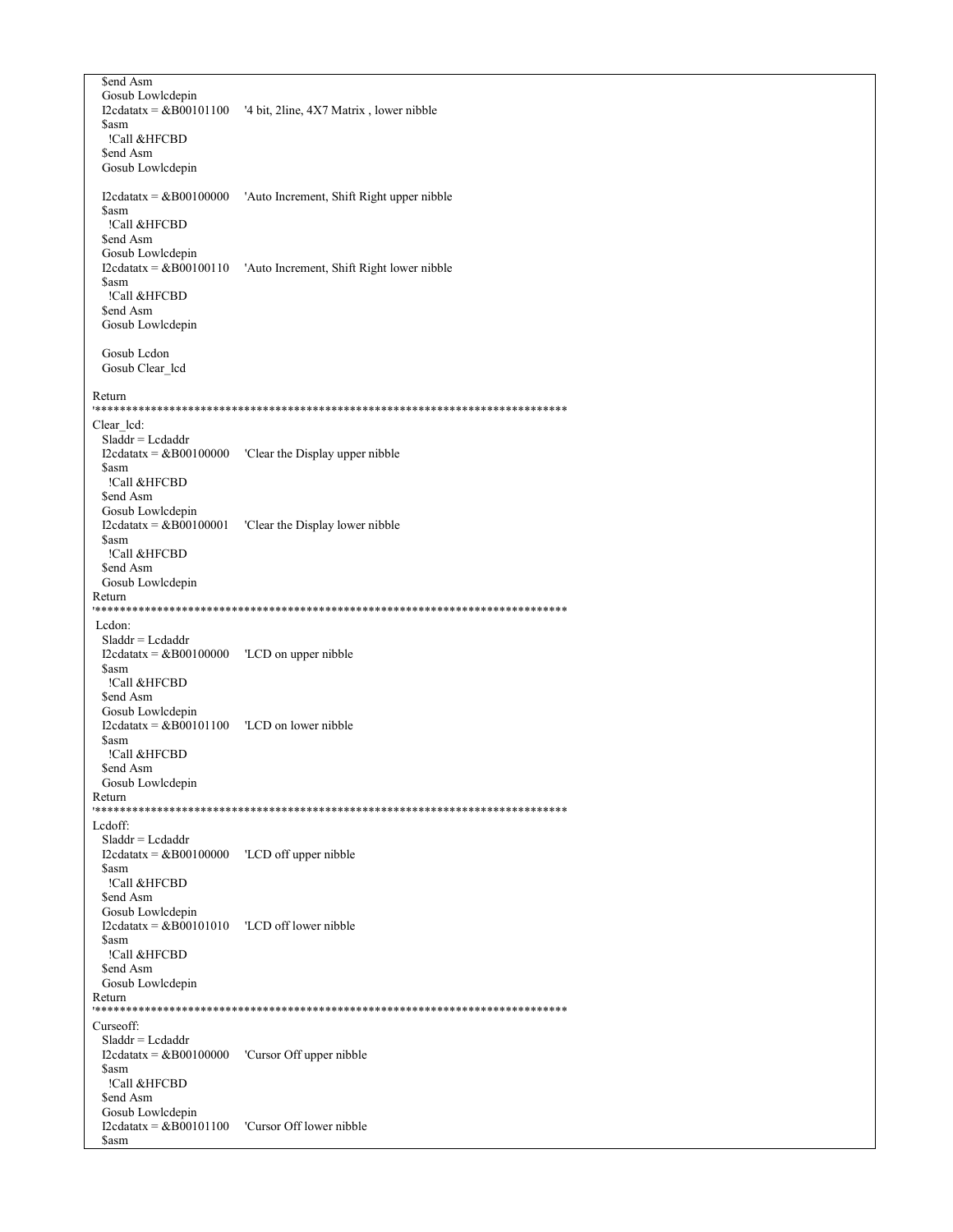\$end Asm Gosub Lowlcdepin I2cdatatx =  $&800101100$  '4 bit, 2line, 4X7 Matrix, lower nibble **Sasm** !Call &HFCBD \$end Asm Gosub Lowlcdepin I2cdatatx =  $&B00100000$  'Auto Increment, Shift Right upper nibble **\$asm** !Call &HFCBD \$end Asm Gosub Lowlcdepin  $I2cdatatx = \& B00100110$  'Auto Increment, Shift Right lower nibble \$asm !Call &HFCBD \$end Asm Gosub Lowlcdepin Gosub Lcdon Gosub Clear\_lcd Return Clear\_lcd:  $Sladdr = Lcdaddr$ I2cdatatx =  $\&B00100000$  'Clear the Display upper nibble \$asm !Call &HFCBD \$end Asm Gosub Lowlcdepin I2cdatatx =  $\&B00100001$  'Clear the Display lower nibble \$asm !Call &HFCBD \$end Asm Gosub Lowlcdepin Return Ledon:  $Sladdr = Lcdaddr$ I2cdatatx =  $\&B00100000$  'LCD on upper nibble \$asm !Call &HFCBD \$end Asm Gosub Lowlcdepin  $I2cdatatx = \&B00101100$   $'LCD$  on lower nibble **Sasm** !Call &HFCBD \$end Asm Gosub Lowlcdepin Return Lcdoff:  $Sladdr = Lcdaddr$ **Sasm** !Call &HFCBD \$end Asm Gosub Lowlcdepin \$asm !Call &HFCBD \$end Asm Gosub Lowlcdepin Return Curseoff:  $Sladdr = Lcdaddr$  $I2cdatatx = \&B00100000$  'Cursor Off upper nibble **Sasm** !Call &HFCBD \$end Asm Gosub Lowlcdepin I2cdatatx =  $&B00101100$  'Cursor Off lower nibble \$asm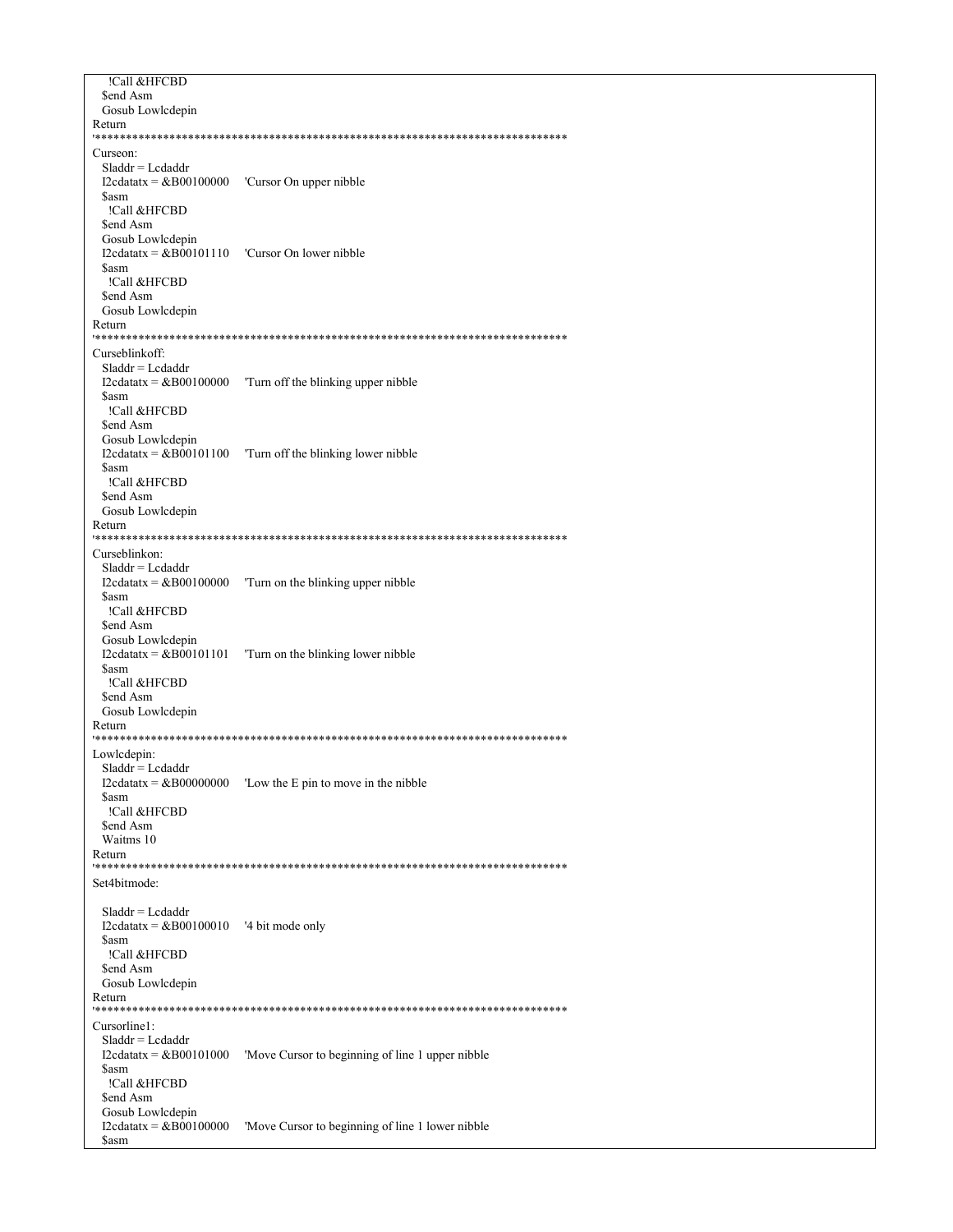!Call &HFCBD \$end Asm Gosub Lowlcdepin Return Curseon:  $Sladdr = Lcdaddr$ I2cdatatx =  $&B00100000$  'Cursor On upper nibble \$asm !Call &HFCBD \$end Asm Gosub Lowlcdepin I2cdatatx =  $\&B00101110$  'Cursor On lower nibble \$asm !Call &HFCBD \$end Asm Gosub Lowlcdepin Return \*\*\*\*\*\*\*\*\*\* Curseblinkoff:  $Sladdr = Lcdaddr$ I2cdatatx =  $\&B00100000$  Turn off the blinking upper nibble **Sasm** !Call &HFCBD \$end Asm Gosub Lowlcdepin I2cdatatx =  $&B00101100$  Turn off the blinking lower nibble \$asm !Call &HFCBD \$end Asm Gosub Lowlcdepin Return Curseblinkon:  $Sladdr = Lcdaddr$ I2cdatatx =  $&B00100000$  Turn on the blinking upper nibble **Sasm** !Call &HFCBD \$end Asm Gosub Lowlcdepin I2cdatatx =  $&B00101101$  Turn on the blinking lower nibble \$asm !Call &HFCBD \$end Asm Gosub Lowlcdepin Return Lowledepin:  $Sladdr = Lcdaddr$ I2cdatatx =  $\&B00000000$  'Low the E pin to move in the nibble \$asm !Call &HFCBD \$end Asm Waitms 10 Return Set4bitmode:  $Sladdr = Lcdaddr$ I2cdatatx =  $\&B00100010$  '4 bit mode only \$asm !Call &HFCBD \$end Asm Gosub Lowlcdepin Return Cursorline1:  $Sladdr = Lcdaddr$ I2cdatatx =  $&B00101000$  'Move Cursor to beginning of line 1 upper nibble **Sasm** !Call &HFCBD \$end Asm Gosub Lowlcdepin I2cdatatx =  $\&\overrightarrow{B00100000}$  'Move Cursor to beginning of line 1 lower nibble \$asm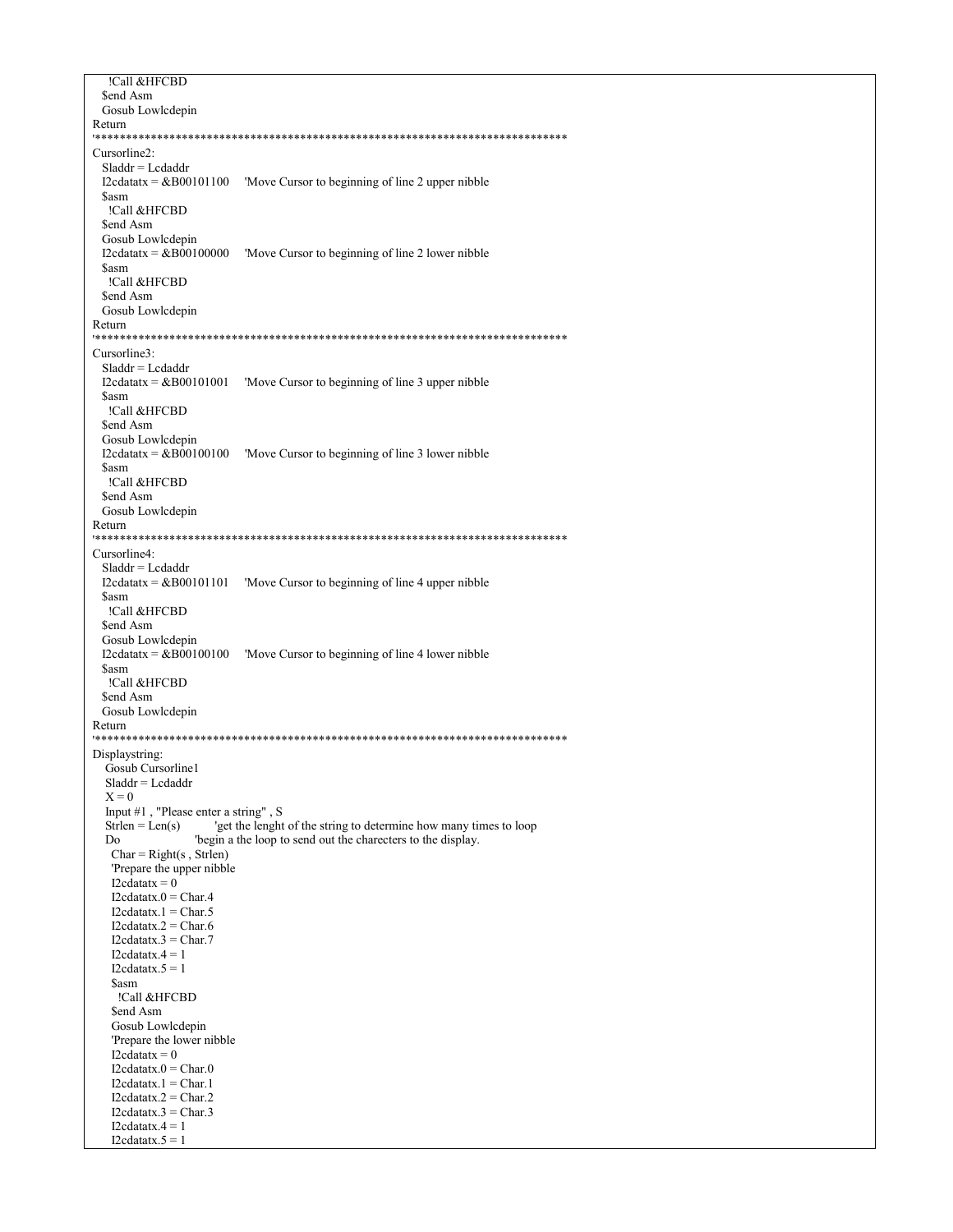!Call &HFCBD \$end Asm Gosub Lowlcdepin Return Cursorline2:  $Sladdr = Lcdaddr$ I2cdatatx =  $&B00101100$  'Move Cursor to beginning of line 2 upper nibble \$asm !Call &HFCBD \$end Asm Gosub Lowlcdepin I2cdatatx =  $&B00100000$  'Move Cursor to beginning of line 2 lower nibble **Sasm** !Call &HFCBD \$end Asm Gosub Lowlcdepin Return \*\*\*\*\*\*\*\*\*\*\* Cursorline3:  $Sladdr = Lcdaddr$ I2cdatatx =  $&B00101001$  'Move Cursor to beginning of line 3 upper nibble **Sasm** !Call &HFCBD \$end Asm Gosub Lowlcdepin I2cdatatx =  $&B00100100$  'Move Cursor to beginning of line 3 lower nibble \$asm !Call &HFCBD \$end Asm Gosub Lowlcdepin Return Cursorline4:  $Sladdr = Lcdaddr$ I2cdatatx =  $&B00101101$  'Move Cursor to beginning of line 4 upper nibble **Sasm** !Call &HFCBD \$end Asm Gosub Lowlcdepin I2cdatatx =  $\&B00100100$  'Move Cursor to beginning of line 4 lower nibble \$asm !Call &HFCBD \$end Asm Gosub Lowlcdepin Return Displaystring: Gosub Cursorline1  $Sladdr = Lcdaddr$  $X = 0$ Input #1, "Please enter a string", S 'get the lenght of the string to determine how many times to loop  $Strlen = Len(s)$ Do 'begin a the loop to send out the charecters to the display.  $Char = Right(s, Strlen)$ 'Prepare the upper nibble I2cdatatx =  $0$  $I2cdatatx.0 = Char.4$  $I2cdatatx.1 = Char.5$ I2cdatatx. $2 =$ Char. $6$  $I2cdatatx.3 = Char.7$  $I2cdatatx.4 = 1$  $I2cdatatx.5 = 1$ **Sasm** !Call &HFCBD \$end Asm Gosub Lowlcdepin 'Prepare the lower nibble  $I2cdatatx = 0$  $I2cdatatx.0 = Char.0$  $I2cdatatx.1 = Char.1$  $I2cdatatx.2 = Char.2$  $I2cdatatx.3 = Char.3$ I2cdatatx. $4 = 1$  $I2cdatatx.5 = 1$